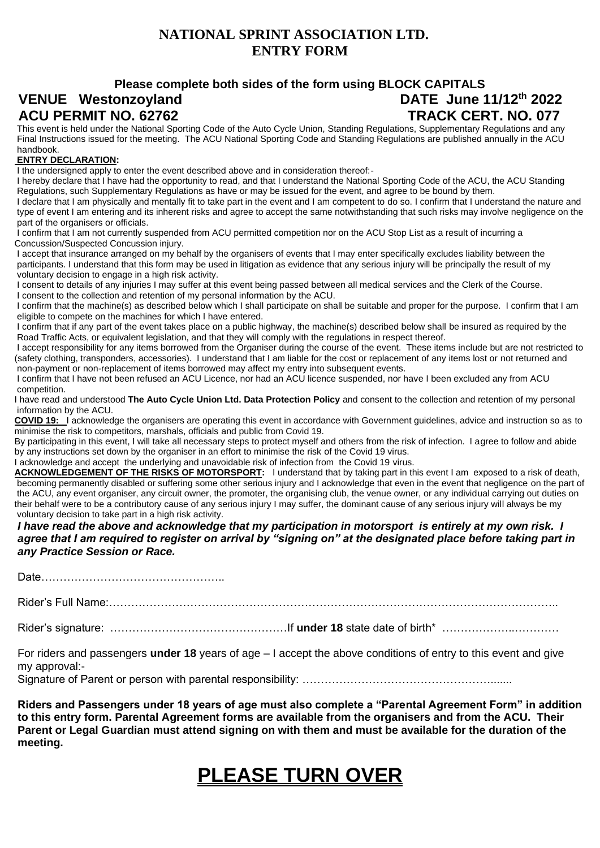#### **NATIONAL SPRINT ASSOCIATION LTD. ENTRY FORM**

#### **Please complete both sides of the form using BLOCK CAPITALS VENUE Westonzoyland DATE June 11/12th 2022 ACU PERMIT NO. 62762 TRACK CERT. NO. 077**

This event is held under the National Sporting Code of the Auto Cycle Union, Standing Regulations, Supplementary Regulations and any Final Instructions issued for the meeting. The ACU National Sporting Code and Standing Regulations are published annually in the ACU handbook.

#### **ENTRY DECLARATION:**

I the undersigned apply to enter the event described above and in consideration thereof:-

I hereby declare that I have had the opportunity to read, and that I understand the National Sporting Code of the ACU, the ACU Standing Regulations, such Supplementary Regulations as have or may be issued for the event, and agree to be bound by them.

I declare that I am physically and mentally fit to take part in the event and I am competent to do so. I confirm that I understand the nature and type of event I am entering and its inherent risks and agree to accept the same notwithstanding that such risks may involve negligence on the part of the organisers or officials.

I confirm that I am not currently suspended from ACU permitted competition nor on the ACU Stop List as a result of incurring a Concussion/Suspected Concussion injury.

I accept that insurance arranged on my behalf by the organisers of events that I may enter specifically excludes liability between the participants. I understand that this form may be used in litigation as evidence that any serious injury will be principally the result of my voluntary decision to engage in a high risk activity.

I consent to details of any injuries I may suffer at this event being passed between all medical services and the Clerk of the Course. I consent to the collection and retention of my personal information by the ACU.

I confirm that the machine(s) as described below which I shall participate on shall be suitable and proper for the purpose. I confirm that I am eligible to compete on the machines for which I have entered.

I confirm that if any part of the event takes place on a public highway, the machine(s) described below shall be insured as required by the Road Traffic Acts, or equivalent legislation, and that they will comply with the regulations in respect thereof.

I accept responsibility for any items borrowed from the Organiser during the course of the event. These items include but are not restricted to (safety clothing, transponders, accessories). I understand that I am liable for the cost or replacement of any items lost or not returned and non-payment or non-replacement of items borrowed may affect my entry into subsequent events.

I confirm that I have not been refused an ACU Licence, nor had an ACU licence suspended, nor have I been excluded any from ACU competition.

I have read and understood **The Auto Cycle Union Ltd. Data Protection Policy** and consent to the collection and retention of my personal information by the ACU.

**COVID 19:** I acknowledge the organisers are operating this event in accordance with Government guidelines, advice and instruction so as to minimise the risk to competitors, marshals, officials and public from Covid 19.

By participating in this event, I will take all necessary steps to protect myself and others from the risk of infection. I agree to follow and abide by any instructions set down by the organiser in an effort to minimise the risk of the Covid 19 virus.

I acknowledge and accept the underlying and unavoidable risk of infection from the Covid 19 virus.

ACKNOWLEDGEMENT OF THE RISKS OF MOTORSPORT: I understand that by taking part in this event I am exposed to a risk of death, becoming permanently disabled or suffering some other serious injury and I acknowledge that even in the event that negligence on the part of the ACU, any event organiser, any circuit owner, the promoter, the organising club, the venue owner, or any individual carrying out duties on their behalf were to be a contributory cause of any serious injury I may suffer, the dominant cause of any serious injury will always be my voluntary decision to take part in a high risk activity.

*I have read the above and acknowledge that my participation in motorsport is entirely at my own risk. I agree that I am required to register on arrival by "signing on" at the designated place before taking part in any Practice Session or Race.* 

Date…………………………………………..

Rider's Full Name:…………………………………………………………………………………………………………..

Rider's signature: …………………………………………If **under 18** state date of birth\* ………………..…………

For riders and passengers **under 18** years of age – I accept the above conditions of entry to this event and give my approval:-

Signature of Parent or person with parental responsibility: ……………………………………………………

**Riders and Passengers under 18 years of age must also complete a "Parental Agreement Form" in addition to this entry form. Parental Agreement forms are available from the organisers and from the ACU. Their Parent or Legal Guardian must attend signing on with them and must be available for the duration of the meeting.** 

# **PLEASE TURN OVER**